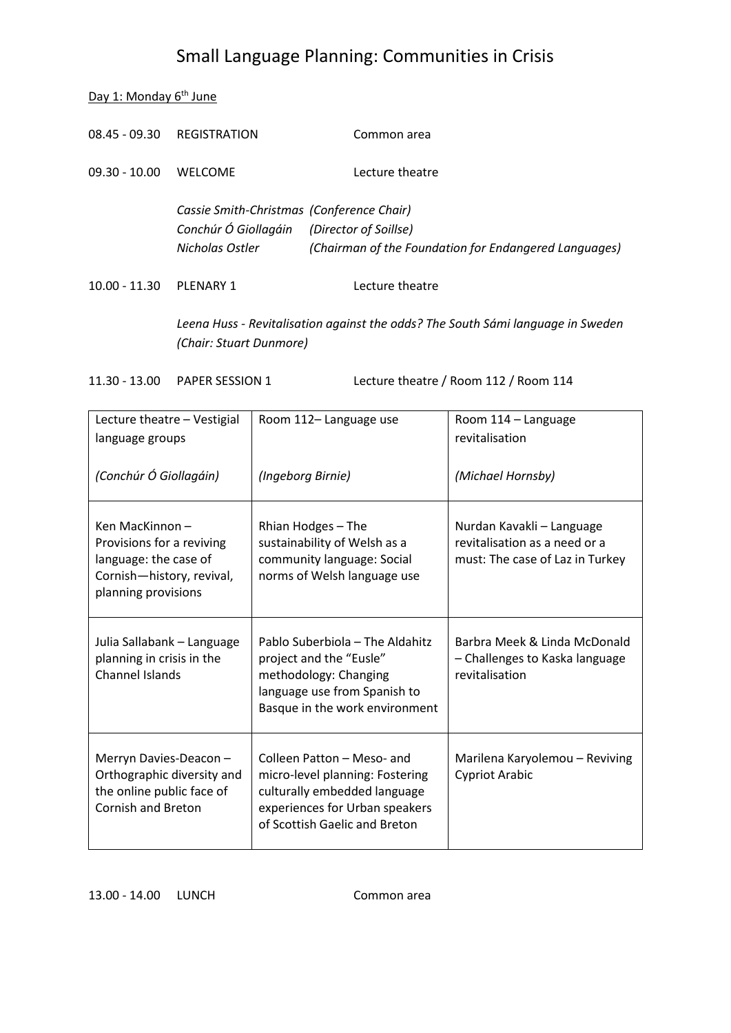Day 1: Monday 6<sup>th</sup> June

| $10.00 - 11.30$ | PLFNARY 1                                                                                                  | Lecture theatre                                       |
|-----------------|------------------------------------------------------------------------------------------------------------|-------------------------------------------------------|
|                 | Cassie Smith-Christmas (Conference Chair)<br>Conchúr Ó Giollagáin (Director of Soillse)<br>Nicholas Ostler | (Chairman of the Foundation for Endangered Languages) |
| $09.30 - 10.00$ | <b>WELCOME</b>                                                                                             | Lecture theatre                                       |
|                 | 08.45 - 09.30 REGISTRATION                                                                                 | Common area                                           |

*Leena Huss - Revitalisation against the odds? The South Sámi language in Sweden (Chair: Stuart Dunmore)*

11.30 - 13.00 PAPER SESSION 1 Lecture theatre / Room 112 / Room 114

| Lecture theatre - Vestigial<br>language groups                                                                           | Room 112-Language use                                                                                                                                            | Room 114 - Language<br>revitalisation                                                         |
|--------------------------------------------------------------------------------------------------------------------------|------------------------------------------------------------------------------------------------------------------------------------------------------------------|-----------------------------------------------------------------------------------------------|
| (Conchúr Ó Giollagáin)                                                                                                   | (Ingeborg Birnie)                                                                                                                                                | (Michael Hornsby)                                                                             |
| Ken MacKinnon-<br>Provisions for a reviving<br>language: the case of<br>Cornish-history, revival,<br>planning provisions | Rhian Hodges - The<br>sustainability of Welsh as a<br>community language: Social<br>norms of Welsh language use                                                  | Nurdan Kavakli – Language<br>revitalisation as a need or a<br>must: The case of Laz in Turkey |
| Julia Sallabank - Language<br>planning in crisis in the<br><b>Channel Islands</b>                                        | Pablo Suberbiola - The Aldahitz<br>project and the "Eusle"<br>methodology: Changing<br>language use from Spanish to<br>Basque in the work environment            | Barbra Meek & Linda McDonald<br>- Challenges to Kaska language<br>revitalisation              |
| Merryn Davies-Deacon-<br>Orthographic diversity and<br>the online public face of<br><b>Cornish and Breton</b>            | Colleen Patton - Meso- and<br>micro-level planning: Fostering<br>culturally embedded language<br>experiences for Urban speakers<br>of Scottish Gaelic and Breton | Marilena Karyolemou - Reviving<br><b>Cypriot Arabic</b>                                       |

13.00 - 14.00 LUNCH Common area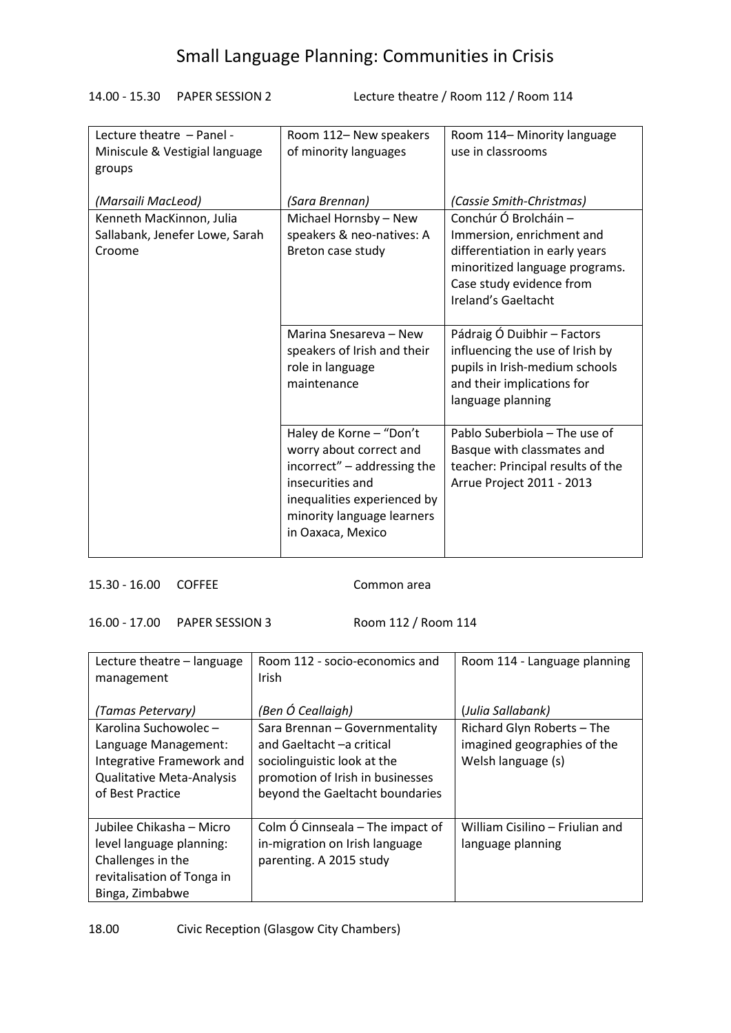14.00 - 15.30 PAPER SESSION 2 Lecture theatre / Room 112 / Room 114

| Lecture theatre - Panel -      | Room 112- New speakers      | Room 114– Minority language       |
|--------------------------------|-----------------------------|-----------------------------------|
| Miniscule & Vestigial language | of minority languages       | use in classrooms                 |
| groups                         |                             |                                   |
|                                |                             |                                   |
| (Marsaili MacLeod)             | (Sara Brennan)              | (Cassie Smith-Christmas)          |
| Kenneth MacKinnon, Julia       | Michael Hornsby - New       | Conchúr Ó Brolcháin -             |
| Sallabank, Jenefer Lowe, Sarah | speakers & neo-natives: A   | Immersion, enrichment and         |
| Croome                         | Breton case study           | differentiation in early years    |
|                                |                             | minoritized language programs.    |
|                                |                             | Case study evidence from          |
|                                |                             | Ireland's Gaeltacht               |
|                                |                             |                                   |
|                                | Marina Snesareva - New      | Pádraig Ó Duibhir - Factors       |
|                                | speakers of Irish and their | influencing the use of Irish by   |
|                                | role in language            | pupils in Irish-medium schools    |
|                                | maintenance                 | and their implications for        |
|                                |                             | language planning                 |
|                                |                             |                                   |
|                                | Haley de Korne - "Don't     | Pablo Suberbiola – The use of     |
|                                |                             |                                   |
|                                | worry about correct and     | Basque with classmates and        |
|                                | incorrect" – addressing the | teacher: Principal results of the |
|                                | insecurities and            | Arrue Project 2011 - 2013         |
|                                | inequalities experienced by |                                   |
|                                | minority language learners  |                                   |
|                                | in Oaxaca, Mexico           |                                   |
|                                |                             |                                   |

### 15.30 - 16.00 COFFEE Common area

16.00 - 17.00 PAPER SESSION 3 Room 112 / Room 114

| Lecture theatre – language<br>management | Room 112 - socio-economics and<br>Irish | Room 114 - Language planning    |
|------------------------------------------|-----------------------------------------|---------------------------------|
| (Tamas Petervary)                        | (Ben Ó Ceallaigh)                       | (Julia Sallabank)               |
| Karolina Suchowolec -                    | Sara Brennan - Governmentality          | Richard Glyn Roberts - The      |
| Language Management:                     | and Gaeltacht-a critical                | imagined geographies of the     |
| Integrative Framework and                | sociolinguistic look at the             | Welsh language (s)              |
| <b>Qualitative Meta-Analysis</b>         | promotion of Irish in businesses        |                                 |
| of Best Practice                         | beyond the Gaeltacht boundaries         |                                 |
|                                          |                                         |                                 |
| Jubilee Chikasha - Micro                 | Colm Ó Cinnseala – The impact of        | William Cisilino – Friulian and |
| level language planning:                 | in-migration on Irish language          | language planning               |
| Challenges in the                        | parenting. A 2015 study                 |                                 |
| revitalisation of Tonga in               |                                         |                                 |
| Binga, Zimbabwe                          |                                         |                                 |

18.00 Civic Reception (Glasgow City Chambers)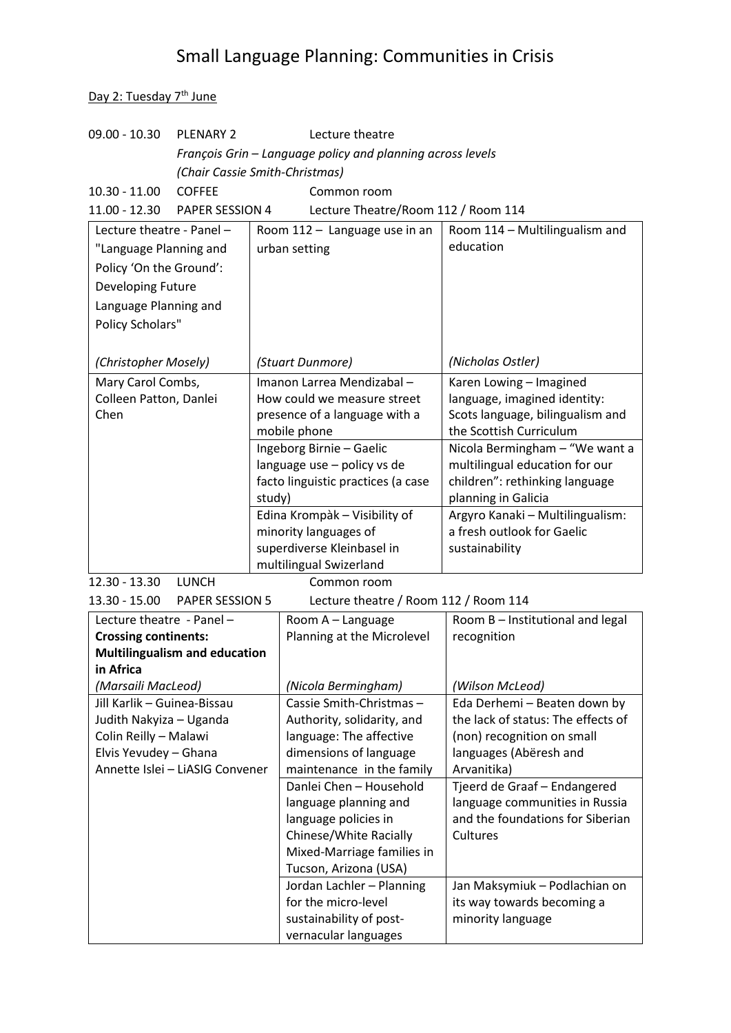Day 2: Tuesday 7<sup>th</sup> June

| 09.00 - 10.30<br><b>PLENARY 2</b>                                   |                                | Lecture theatre                    |                                                            |                                                                |  |
|---------------------------------------------------------------------|--------------------------------|------------------------------------|------------------------------------------------------------|----------------------------------------------------------------|--|
|                                                                     |                                |                                    | François Grin - Language policy and planning across levels |                                                                |  |
|                                                                     | (Chair Cassie Smith-Christmas) |                                    |                                                            |                                                                |  |
| $10.30 - 11.00$                                                     | <b>COFFEE</b>                  |                                    | Common room                                                |                                                                |  |
| 11.00 - 12.30                                                       | PAPER SESSION 4                |                                    | Lecture Theatre/Room 112 / Room 114                        |                                                                |  |
| Lecture theatre - Panel -                                           |                                |                                    | Room 112 - Language use in an                              | Room 114 - Multilingualism and                                 |  |
|                                                                     |                                |                                    | urban setting                                              | education                                                      |  |
| "Language Planning and                                              |                                |                                    |                                                            |                                                                |  |
| Policy 'On the Ground':                                             |                                |                                    |                                                            |                                                                |  |
| Developing Future                                                   |                                |                                    |                                                            |                                                                |  |
| Language Planning and                                               |                                |                                    |                                                            |                                                                |  |
| Policy Scholars"                                                    |                                |                                    |                                                            |                                                                |  |
|                                                                     |                                |                                    |                                                            |                                                                |  |
| (Christopher Mosely)                                                |                                |                                    | (Stuart Dunmore)                                           | (Nicholas Ostler)                                              |  |
| Mary Carol Combs,                                                   |                                | Imanon Larrea Mendizabal -         |                                                            | Karen Lowing - Imagined                                        |  |
| Colleen Patton, Danlei                                              |                                | How could we measure street        |                                                            | language, imagined identity:                                   |  |
| Chen                                                                |                                | presence of a language with a      |                                                            | Scots language, bilingualism and                               |  |
|                                                                     |                                | mobile phone                       |                                                            | the Scottish Curriculum                                        |  |
|                                                                     |                                | Ingeborg Birnie - Gaelic           |                                                            | Nicola Bermingham - "We want a                                 |  |
|                                                                     |                                | language use - policy vs de        |                                                            | multilingual education for our                                 |  |
|                                                                     |                                | facto linguistic practices (a case |                                                            | children": rethinking language                                 |  |
|                                                                     |                                | study)                             |                                                            | planning in Galicia                                            |  |
|                                                                     |                                |                                    | Edina Krompàk - Visibility of                              | Argyro Kanaki - Multilingualism:<br>a fresh outlook for Gaelic |  |
|                                                                     |                                |                                    | minority languages of<br>superdiverse Kleinbasel in        | sustainability                                                 |  |
|                                                                     |                                |                                    | multilingual Swizerland                                    |                                                                |  |
| 12.30 - 13.30                                                       | <b>LUNCH</b>                   |                                    | Common room                                                |                                                                |  |
|                                                                     |                                |                                    | Lecture theatre / Room 112 / Room 114                      |                                                                |  |
| 13.30 - 15.00<br><b>PAPER SESSION 5</b>                             |                                |                                    |                                                            |                                                                |  |
| Lecture theatre - Panel -                                           |                                |                                    | Room A - Language<br>Planning at the Microlevel            | Room B - Institutional and legal<br>recognition                |  |
| <b>Crossing continents:</b><br><b>Multilingualism and education</b> |                                |                                    |                                                            |                                                                |  |
|                                                                     |                                |                                    |                                                            |                                                                |  |

| Crossing continents.                 | Planning at the Millionever | <b>TECORTILIOIT</b>                |
|--------------------------------------|-----------------------------|------------------------------------|
| <b>Multilingualism and education</b> |                             |                                    |
| in Africa                            |                             |                                    |
| (Marsaili MacLeod)                   | (Nicola Bermingham)         | (Wilson McLeod)                    |
| Jill Karlik - Guinea-Bissau          | Cassie Smith-Christmas-     | Eda Derhemi - Beaten down by       |
| Judith Nakyiza - Uganda              | Authority, solidarity, and  | the lack of status: The effects of |
| Colin Reilly - Malawi                | language: The affective     | (non) recognition on small         |
| Elvis Yevudey - Ghana                | dimensions of language      | languages (Abëresh and             |
| Annette Islei - LiASIG Convener      | maintenance in the family   | Arvanitika)                        |
|                                      | Danlei Chen - Household     | Tjeerd de Graaf - Endangered       |
|                                      | language planning and       | language communities in Russia     |
|                                      | language policies in        | and the foundations for Siberian   |
|                                      | Chinese/White Racially      | Cultures                           |
|                                      | Mixed-Marriage families in  |                                    |
|                                      | Tucson, Arizona (USA)       |                                    |
|                                      | Jordan Lachler - Planning   | Jan Maksymiuk – Podlachian on      |
|                                      | for the micro-level         | its way towards becoming a         |
|                                      | sustainability of post-     | minority language                  |
|                                      | vernacular languages        |                                    |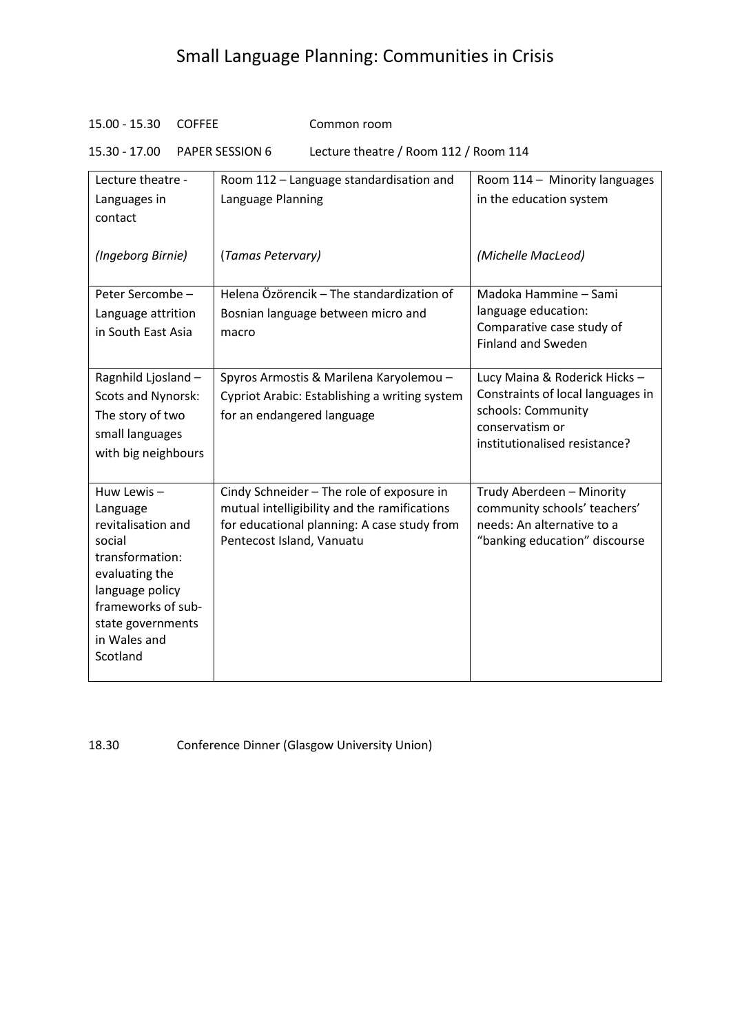### 15.00 - 15.30 COFFEE Common room

15.30 - 17.00 PAPER SESSION 6 Lecture theatre / Room 112 / Room 114

| Lecture theatre -                     | Room 112 - Language standardisation and                                                     | Room 114 - Minority languages                              |
|---------------------------------------|---------------------------------------------------------------------------------------------|------------------------------------------------------------|
| Languages in                          | Language Planning                                                                           | in the education system                                    |
| contact                               |                                                                                             |                                                            |
| (Ingeborg Birnie)                     | (Tamas Petervary)                                                                           | (Michelle MacLeod)                                         |
| Peter Sercombe -                      | Helena Özörencik - The standardization of                                                   | Madoka Hammine - Sami                                      |
| Language attrition                    | Bosnian language between micro and                                                          | language education:                                        |
| in South East Asia                    | macro                                                                                       | Comparative case study of<br><b>Finland and Sweden</b>     |
| Ragnhild Ljosland -                   | Spyros Armostis & Marilena Karyolemou -                                                     | Lucy Maina & Roderick Hicks-                               |
| Scots and Nynorsk:                    | Cypriot Arabic: Establishing a writing system                                               | Constraints of local languages in                          |
| The story of two                      | for an endangered language                                                                  | schools: Community                                         |
| small languages                       |                                                                                             | conservatism or<br>institutionalised resistance?           |
| with big neighbours                   |                                                                                             |                                                            |
|                                       |                                                                                             |                                                            |
| Huw Lewis-                            | Cindy Schneider - The role of exposure in                                                   | Trudy Aberdeen - Minority                                  |
| Language<br>revitalisation and        | mutual intelligibility and the ramifications<br>for educational planning: A case study from | community schools' teachers'<br>needs: An alternative to a |
| social                                | Pentecost Island, Vanuatu                                                                   | "banking education" discourse                              |
| transformation:                       |                                                                                             |                                                            |
| evaluating the                        |                                                                                             |                                                            |
| language policy<br>frameworks of sub- |                                                                                             |                                                            |
| state governments                     |                                                                                             |                                                            |
| in Wales and                          |                                                                                             |                                                            |
| Scotland                              |                                                                                             |                                                            |
|                                       |                                                                                             |                                                            |

18.30 Conference Dinner (Glasgow University Union)